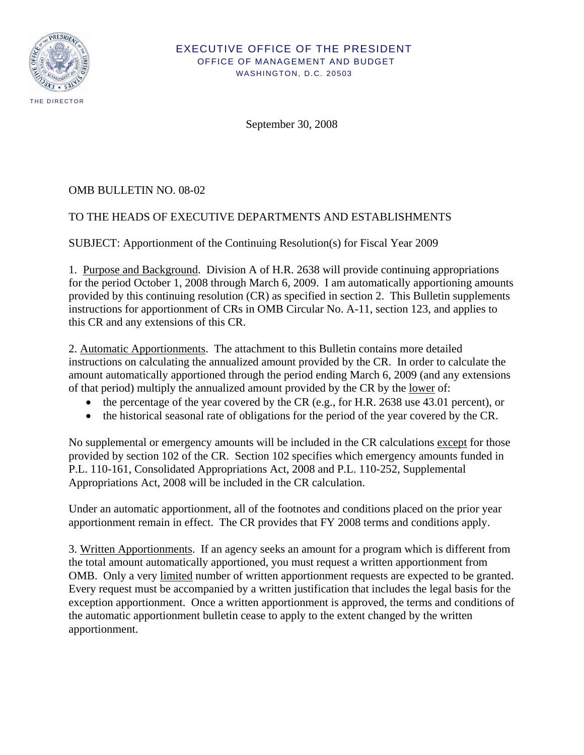

#### EXECUTIVE OFFICE OF THE PRESIDENT OFFICE OF MANAGEMENT AND BUDGET WASHINGTON, D.C. 20503

September 30, 2008

# OMB BULLETIN NO. 08-02

# TO THE HEADS OF EXECUTIVE DEPARTMENTS AND ESTABLISHMENTS

SUBJECT: Apportionment of the Continuing Resolution(s) for Fiscal Year 2009

1. Purpose and Background. Division A of H.R. 2638 will provide continuing appropriations for the period October 1, 2008 through March 6, 2009. I am automatically apportioning amounts provided by this continuing resolution (CR) as specified in section 2. This Bulletin supplements instructions for apportionment of CRs in OMB Circular No. A-11, section 123, and applies to this CR and any extensions of this CR.

2. Automatic Apportionments. The attachment to this Bulletin contains more detailed instructions on calculating the annualized amount provided by the CR. In order to calculate the amount automatically apportioned through the period ending March 6, 2009 (and any extensions of that period) multiply the annualized amount provided by the CR by the lower of:

- the percentage of the year covered by the CR (e.g., for H.R. 2638 use 43.01 percent), or
- the historical seasonal rate of obligations for the period of the year covered by the CR.

No supplemental or emergency amounts will be included in the CR calculations except for those provided by section 102 of the CR. Section 102 specifies which emergency amounts funded in P.L. 110-161, Consolidated Appropriations Act, 2008 and P.L. 110-252, Supplemental Appropriations Act, 2008 will be included in the CR calculation.

Under an automatic apportionment, all of the footnotes and conditions placed on the prior year apportionment remain in effect. The CR provides that FY 2008 terms and conditions apply.

3. Written Apportionments. If an agency seeks an amount for a program which is different from the total amount automatically apportioned, you must request a written apportionment from OMB. Only a very limited number of written apportionment requests are expected to be granted. Every request must be accompanied by a written justification that includes the legal basis for the exception apportionment. Once a written apportionment is approved, the terms and conditions of the automatic apportionment bulletin cease to apply to the extent changed by the written apportionment.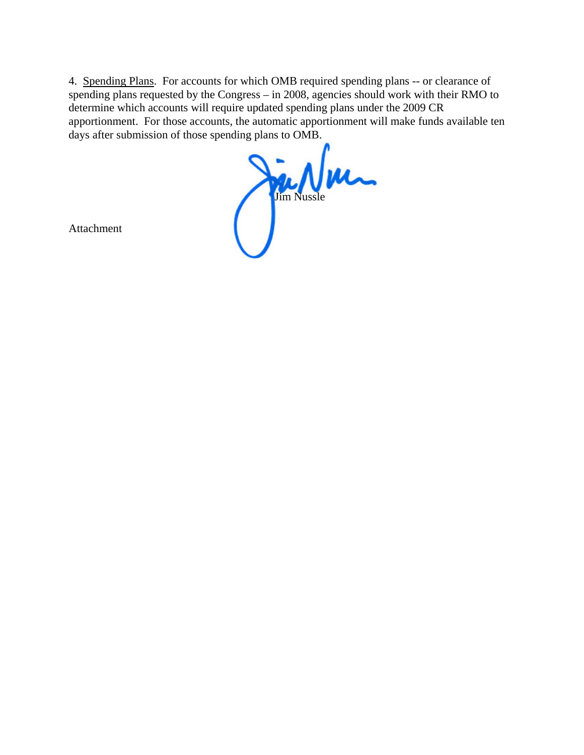4. Spending Plans. For accounts for which OMB required spending plans -- or clearance of spending plans requested by the Congress – in 2008, agencies should work with their RMO to determine which accounts will require updated spending plans under the 2009 CR apportionment. For those accounts, the automatic apportionment will make funds available ten days after submission of those spending plans to OMB.

Jim Nussle

Attachment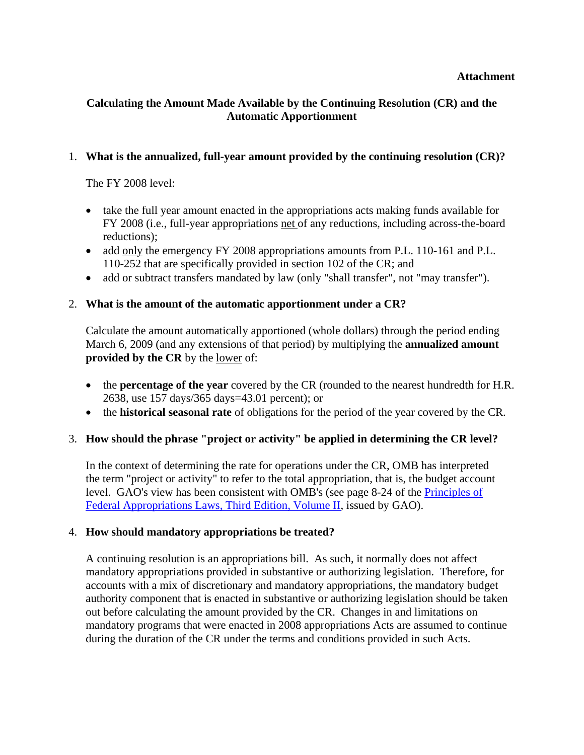#### **Attachment**

# **Calculating the Amount Made Available by the Continuing Resolution (CR) and the Automatic Apportionment**

## 1. **What is the annualized, full-year amount provided by the continuing resolution (CR)?**

The FY 2008 level:

- take the full year amount enacted in the appropriations acts making funds available for FY 2008 (i.e., full-year appropriations net of any reductions, including across-the-board reductions);
- add only the emergency FY 2008 appropriations amounts from P.L. 110-161 and P.L. 110-252 that are specifically provided in section 102 of the CR; and
- add or subtract transfers mandated by law (only "shall transfer", not "may transfer").

## 2. **What is the amount of the automatic apportionment under a CR?**

Calculate the amount automatically apportioned (whole dollars) through the period ending March 6, 2009 (and any extensions of that period) by multiplying the **annualized amount provided by the CR** by the lower of:

- the **percentage of the year** covered by the CR (rounded to the nearest hundredth for H.R. 2638, use 157 days/365 days=43.01 percent); or
- the **historical seasonal rate** of obligations for the period of the year covered by the CR.

### 3. **How should the phrase "project or activity" be applied in determining the CR level?**

In the context of determining the rate for operations under the CR, OMB has interpreted the term "project or activity" to refer to the total appropriation, that is, the budget account level. GAO's view has been consistent with OMB's (see page 8-24 of the [Principles of](http://www.gao.gov/special.pubs/d06382sp.pdf)  [Federal Appropriations Laws, Third Edition, Volume II](http://www.gao.gov/special.pubs/d06382sp.pdf), issued by GAO).

### 4. **How should mandatory appropriations be treated?**

A continuing resolution is an appropriations bill. As such, it normally does not affect mandatory appropriations provided in substantive or authorizing legislation. Therefore, for accounts with a mix of discretionary and mandatory appropriations, the mandatory budget authority component that is enacted in substantive or authorizing legislation should be taken out before calculating the amount provided by the CR. Changes in and limitations on mandatory programs that were enacted in 2008 appropriations Acts are assumed to continue during the duration of the CR under the terms and conditions provided in such Acts.